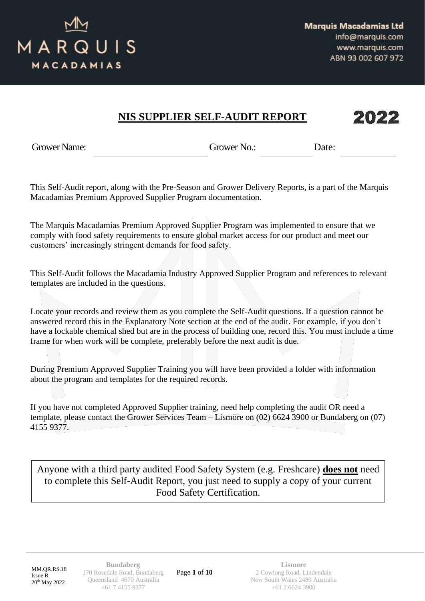

#### 2022 **NIS SUPPLIER SELF-AUDIT REPORT**

Grower Name: Grower No.: Date:

This Self-Audit report, along with the Pre-Season and Grower Delivery Reports, is a part of the Marquis Macadamias Premium Approved Supplier Program documentation.

The Marquis Macadamias Premium Approved Supplier Program was implemented to ensure that we comply with food safety requirements to ensure global market access for our product and meet our customers' increasingly stringent demands for food safety.

This Self-Audit follows the Macadamia Industry Approved Supplier Program and references to relevant templates are included in the questions.

Locate your records and review them as you complete the Self-Audit questions. If a question cannot be answered record this in the Explanatory Note section at the end of the audit. For example, if you don't have a lockable chemical shed but are in the process of building one, record this. You must include a time frame for when work will be complete, preferably before the next audit is due.

During Premium Approved Supplier Training you will have been provided a folder with information about the program and templates for the required records.

If you have not completed Approved Supplier training, need help completing the audit OR need a template, please contact the Grower Services Team – Lismore on (02) 6624 3900 or Bundaberg on (07) 4155 9377.

Anyone with a third party audited Food Safety System (e.g. Freshcare) **does not** need to complete this Self-Audit Report, you just need to supply a copy of your current Food Safety Certification.

MM.QR.RS.18 Issue R 20th May 2022

**Bundaberg** 170 Rosedale Road, Bundaberg Queensland 4670 Australia +61 7 4155 9377

Page **1** of **10**

**Lismore** 2 Cowlong Road, Lindendale New South Wales 2480 Australia +61 2 6624 3900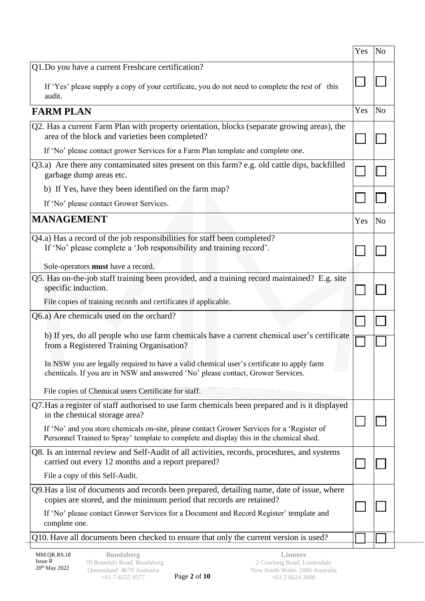|                                                                                                                                                                                       | Yes | N <sub>o</sub> |
|---------------------------------------------------------------------------------------------------------------------------------------------------------------------------------------|-----|----------------|
| Q1.Do you have a current Freshcare certification?                                                                                                                                     |     |                |
| If 'Yes' please supply a copy of your certificate, you do not need to complete the rest of this<br>audit.                                                                             |     |                |
| <b>FARM PLAN</b>                                                                                                                                                                      | Yes | N <sub>o</sub> |
| Q2. Has a current Farm Plan with property orientation, blocks (separate growing areas), the<br>area of the block and varieties been completed?                                        |     |                |
| If 'No' please contact grower Services for a Farm Plan template and complete one.                                                                                                     |     |                |
| Q3.a) Are there any contaminated sites present on this farm? e.g. old cattle dips, backfilled<br>garbage dump areas etc.                                                              |     |                |
| b) If Yes, have they been identified on the farm map?                                                                                                                                 |     |                |
| If 'No' please contact Grower Services.                                                                                                                                               |     |                |
| <b>MANAGEMENT</b>                                                                                                                                                                     | Yes | N <sub>o</sub> |
| Q4.a) Has a record of the job responsibilities for staff been completed?<br>If 'No' please complete a 'Job responsibility and training record'.                                       |     |                |
| Sole-operators must have a record.                                                                                                                                                    |     |                |
| Q5. Has on-the-job staff training been provided, and a training record maintained? E.g. site<br>specific induction.                                                                   |     |                |
| File copies of training records and certificates if applicable.                                                                                                                       |     |                |
| Q6.a) Are chemicals used on the orchard?                                                                                                                                              |     |                |
| b) If yes, do all people who use farm chemicals have a current chemical user's certificate<br>from a Registered Training Organisation?                                                |     |                |
| In NSW you are legally required to have a valid chemical user's certificate to apply farm<br>chemicals. If you are in NSW and answered 'No' please contact, Grower Services.          |     |                |
| File copies of Chemical users Certificate for staff.                                                                                                                                  |     |                |
| Q7. Has a register of staff authorised to use farm chemicals been prepared and is it displayed<br>in the chemical storage area?                                                       |     |                |
| If 'No' and you store chemicals on-site, please contact Grower Services for a 'Register of<br>Personnel Trained to Spray' template to complete and display this in the chemical shed. |     |                |
| Q8. Is an internal review and Self-Audit of all activities, records, procedures, and systems<br>carried out every 12 months and a report prepared?                                    |     |                |
| File a copy of this Self-Audit.                                                                                                                                                       |     |                |
| Q9. Has a list of documents and records been prepared, detailing name, date of issue, where<br>copies are stored, and the minimum period that records are retained?                   |     |                |
| If 'No' please contact Grower Services for a Document and Record Register' template and<br>complete one.                                                                              |     |                |
| Q10. Have all documents been checked to ensure that only the current version is used?                                                                                                 |     |                |
|                                                                                                                                                                                       |     |                |

j,

Page **2** of **10**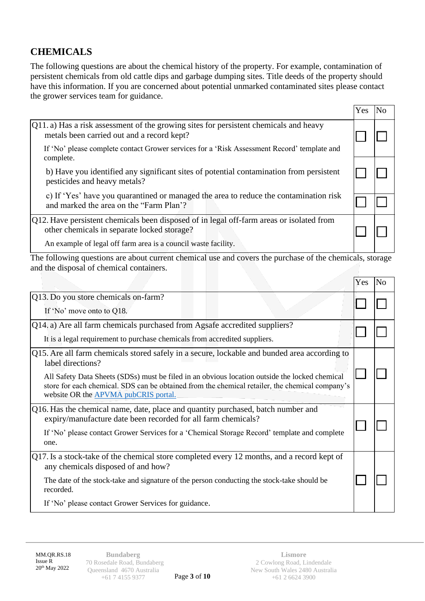# **CHEMICALS**

The following questions are about the chemical history of the property. For example, contamination of persistent chemicals from old cattle dips and garbage dumping sites. Title deeds of the property should have this information. If you are concerned about potential unmarked contaminated sites please contact the grower services team for guidance.

|                                                                                                                                                                                                            | Yes |  |
|------------------------------------------------------------------------------------------------------------------------------------------------------------------------------------------------------------|-----|--|
| $Q_1$ , a) Has a risk assessment of the growing sites for persistent chemicals and heavy<br>metals been carried out and a record kept?                                                                     |     |  |
| If 'No' please complete contact Grower services for a 'Risk Assessment Record' template and<br>complete.                                                                                                   |     |  |
| b) Have you identified any significant sites of potential contamination from persistent<br>pesticides and heavy metals?                                                                                    |     |  |
| c) If 'Yes' have you quarantined or managed the area to reduce the contamination risk<br>and marked the area on the "Farm Plan"?                                                                           |     |  |
| [Q12. Have persistent chemicals been disposed of in legal off-farm areas or isolated from<br>other chemicals in separate locked storage?<br>An example of legal off farm area is a council waste facility. |     |  |

The following questions are about current chemical use and covers the purchase of the chemicals, storage and the disposal of chemical containers.

|                                                                                                                                                                                                                                           | r es | <b>INO</b> |
|-------------------------------------------------------------------------------------------------------------------------------------------------------------------------------------------------------------------------------------------|------|------------|
| Q13. Do you store chemicals on-farm?                                                                                                                                                                                                      |      |            |
| If 'No' move onto to Q18.                                                                                                                                                                                                                 |      |            |
| Q14. a) Are all farm chemicals purchased from Agsafe accredited suppliers?                                                                                                                                                                |      |            |
| It is a legal requirement to purchase chemicals from accredited suppliers.                                                                                                                                                                |      |            |
| Q15. Are all farm chemicals stored safely in a secure, lockable and bunded area according to<br>label directions?                                                                                                                         |      |            |
| All Safety Data Sheets (SDSs) must be filed in an obvious location outside the locked chemical<br>store for each chemical. SDS can be obtained from the chemical retailer, the chemical company's<br>website OR the APVMA pubCRIS portal. |      |            |
| Q16. Has the chemical name, date, place and quantity purchased, batch number and<br>expiry/manufacture date been recorded for all farm chemicals?                                                                                         |      |            |
| If 'No' please contact Grower Services for a 'Chemical Storage Record' template and complete<br>one.                                                                                                                                      |      |            |
| $Q17$ . Is a stock-take of the chemical store completed every 12 months, and a record kept of<br>any chemicals disposed of and how?                                                                                                       |      |            |
| The date of the stock-take and signature of the person conducting the stock-take should be<br>recorded.                                                                                                                                   |      |            |
| If 'No' please contact Grower Services for guidance.                                                                                                                                                                                      |      |            |

 $\sqrt{y}$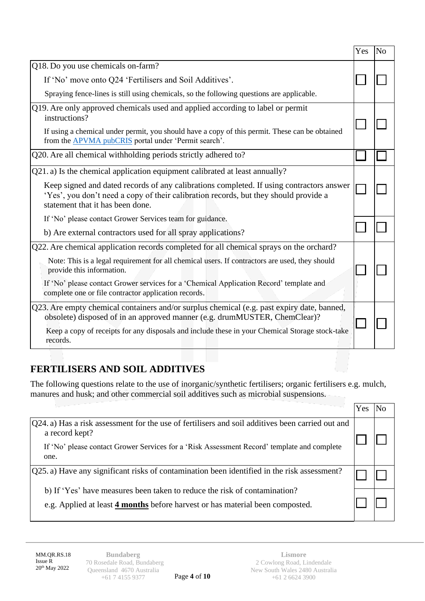|                                                                                                                                                                                                                      | Yes | N <sub>o</sub> |
|----------------------------------------------------------------------------------------------------------------------------------------------------------------------------------------------------------------------|-----|----------------|
| Q18. Do you use chemicals on-farm?                                                                                                                                                                                   |     |                |
| If 'No' move onto Q24 'Fertilisers and Soil Additives'.                                                                                                                                                              |     |                |
| Spraying fence-lines is still using chemicals, so the following questions are applicable.                                                                                                                            |     |                |
| Q19. Are only approved chemicals used and applied according to label or permit<br>instructions?                                                                                                                      |     |                |
| If using a chemical under permit, you should have a copy of this permit. These can be obtained<br>from the APVMA pubCRIS portal under 'Permit search'.                                                               |     |                |
| Q20. Are all chemical withholding periods strictly adhered to?                                                                                                                                                       |     |                |
| Q21. a) Is the chemical application equipment calibrated at least annually?                                                                                                                                          |     |                |
| Keep signed and dated records of any calibrations completed. If using contractors answer<br>'Yes', you don't need a copy of their calibration records, but they should provide a<br>statement that it has been done. |     |                |
| If 'No' please contact Grower Services team for guidance.                                                                                                                                                            |     |                |
| b) Are external contractors used for all spray applications?                                                                                                                                                         |     |                |
| Q22. Are chemical application records completed for all chemical sprays on the orchard?                                                                                                                              |     |                |
| Note: This is a legal requirement for all chemical users. If contractors are used, they should<br>provide this information.                                                                                          |     |                |
| If 'No' please contact Grower services for a 'Chemical Application Record' template and<br>complete one or file contractor application records.                                                                      |     |                |
| Q23. Are empty chemical containers and/or surplus chemical (e.g. past expiry date, banned,<br>obsolete) disposed of in an approved manner (e.g. drumMUSTER, ChemClear)?                                              |     |                |
| Keep a copy of receipts for any disposals and include these in your Chemical Storage stock-take<br>records.                                                                                                          |     |                |

### **FERTILISERS AND SOIL ADDITIVES**

The following questions relate to the use of inorganic/synthetic fertilisers; organic fertilisers e.g. mulch, manures and husk; and other commercial soil additives such as microbial suspensions.

| [Q24. a) Has a risk assessment for the use of fertilisers and soil additives been carried out and<br>a record kept?                                        |  |
|------------------------------------------------------------------------------------------------------------------------------------------------------------|--|
| If 'No' please contact Grower Services for a 'Risk Assessment Record' template and complete<br>one.                                                        |  |
| $[Q25]$ a) Have any significant risks of contamination been identified in the risk assessment?                                                             |  |
| b) If 'Yes' have measures been taken to reduce the risk of contamination?<br>e.g. Applied at least 4 months before harvest or has material been composted. |  |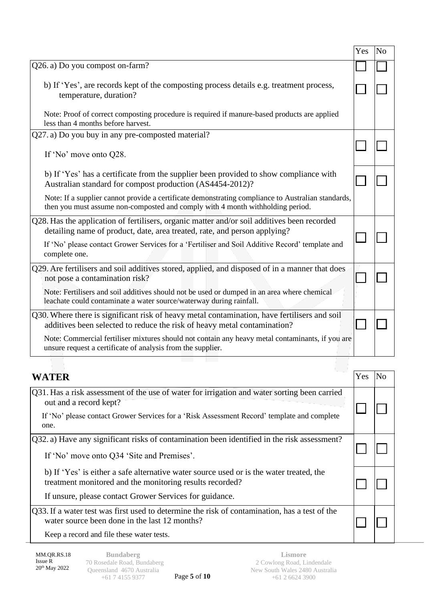|                                                                                                                                                                                      | Yes | N <sub>o</sub> |
|--------------------------------------------------------------------------------------------------------------------------------------------------------------------------------------|-----|----------------|
| Q26. a) Do you compost on-farm?                                                                                                                                                      |     |                |
| b) If 'Yes', are records kept of the composting process details e.g. treatment process,<br>temperature, duration?                                                                    |     |                |
| Note: Proof of correct composting procedure is required if manure-based products are applied<br>less than 4 months before harvest.                                                   |     |                |
| Q27. a) Do you buy in any pre-composted material?                                                                                                                                    |     |                |
| If 'No' move onto Q28.                                                                                                                                                               |     |                |
| b) If 'Yes' has a certificate from the supplier been provided to show compliance with<br>Australian standard for compost production (AS4454-2012)?                                   |     |                |
| Note: If a supplier cannot provide a certificate demonstrating compliance to Australian standards,<br>then you must assume non-composted and comply with 4 month withholding period. |     |                |
| Q28. Has the application of fertilisers, organic matter and/or soil additives been recorded<br>detailing name of product, date, area treated, rate, and person applying?             |     |                |
| If 'No' please contact Grower Services for a 'Fertiliser and Soil Additive Record' template and<br>complete one.                                                                     |     |                |
| Q29. Are fertilisers and soil additives stored, applied, and disposed of in a manner that does<br>not pose a contamination risk?                                                     |     |                |
| Note: Fertilisers and soil additives should not be used or dumped in an area where chemical<br>leachate could contaminate a water source/waterway during rainfall.                   |     |                |
| Q30. Where there is significant risk of heavy metal contamination, have fertilisers and soil<br>additives been selected to reduce the risk of heavy metal contamination?             |     |                |
| Note: Commercial fertiliser mixtures should not contain any heavy metal contaminants, if you are<br>unsure request a certificate of analysis from the supplier.                      |     |                |
|                                                                                                                                                                                      |     |                |

| <b>WATER</b>                                                                                                                                        | Yes | N <sub>0</sub> |
|-----------------------------------------------------------------------------------------------------------------------------------------------------|-----|----------------|
| Q31. Has a risk assessment of the use of water for irrigation and water sorting been carried<br>out and a record kept?                              |     |                |
| If 'No' please contact Grower Services for a 'Risk Assessment Record' template and complete<br>one.                                                 |     |                |
| Q32. a) Have any significant risks of contamination been identified in the risk assessment?                                                         |     |                |
| If 'No' move onto Q34 'Site and Premises'.                                                                                                          |     |                |
| b) If 'Yes' is either a safe alternative water source used or is the water treated, the<br>treatment monitored and the monitoring results recorded? |     |                |
| If unsure, please contact Grower Services for guidance.                                                                                             |     |                |
| Q33. If a water test was first used to determine the risk of contamination, has a test of the<br>water source been done in the last 12 months?      |     |                |
| Keep a record and file these water tests.                                                                                                           |     |                |

Page **5** of **10**

MM.QR.RS.18 Issue R 20th May 2022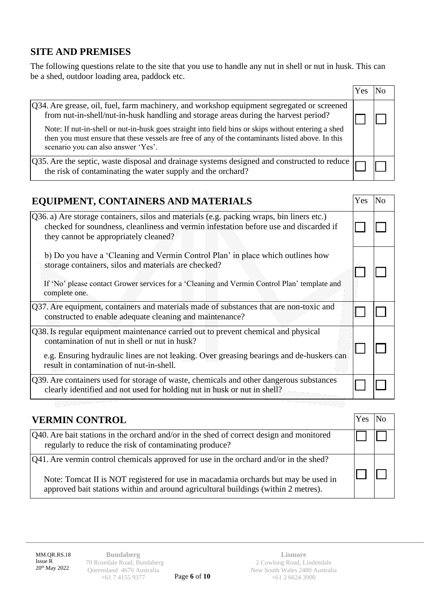### **SITE AND PREMISES**

The following questions relate to the site that you use to handle any nut in shell or nut in husk. This can be a shed, outdoor loading area, paddock etc.

|                                                                                                                                                                                                                                                                                                                                                                                                                                      | res |  |
|--------------------------------------------------------------------------------------------------------------------------------------------------------------------------------------------------------------------------------------------------------------------------------------------------------------------------------------------------------------------------------------------------------------------------------------|-----|--|
| [Q34. Are grease, oil, fuel, farm machinery, and workshop equipment segregated or screened<br>from nut-in-shell/nut-in-husk handling and storage areas during the harvest period?<br>Note: If nut-in-shell or nut-in-husk goes straight into field bins or skips without entering a shed<br>then you must ensure that these vessels are free of any of the contaminants listed above. In this<br>scenario you can also answer 'Yes'. |     |  |
| $\sqrt{Q}$ 35. Are the septic, waste disposal and drainage systems designed and constructed to reduce $\vert_{\Gamma}$<br>the risk of contaminating the water supply and the orchard?                                                                                                                                                                                                                                                |     |  |

| EQUIPMENT, CONTAINERS AND MATERIALS                                                                                                                                                                                                                                         | Yes. | N <sub>0</sub> |
|-----------------------------------------------------------------------------------------------------------------------------------------------------------------------------------------------------------------------------------------------------------------------------|------|----------------|
| [Q36. a) Are storage containers, silos and materials (e.g. packing wraps, bin liners etc.)<br>checked for soundness, cleanliness and vermin infestation before use and discarded if<br>they cannot be appropriately cleaned?                                                |      |                |
| b) Do you have a 'Cleaning and Vermin Control Plan' in place which outlines how<br>storage containers, silos and materials are checked?<br>If 'No' please contact Grower services for a 'Cleaning and Vermin Control Plan' template and<br>complete one.                    |      |                |
| $Q37$ . Are equipment, containers and materials made of substances that are non-toxic and<br>constructed to enable adequate cleaning and maintenance?                                                                                                                       |      |                |
| Q38. Is regular equipment maintenance carried out to prevent chemical and physical<br>contamination of nut in shell or nut in husk?<br>e.g. Ensuring hydraulic lines are not leaking. Over greasing bearings and de-huskers can<br>result in contamination of nut-in-shell. |      |                |
| [Q39. Are containers used for storage of waste, chemicals and other dangerous substances<br>clearly identified and not used for holding nut in husk or nut in shell?                                                                                                        |      |                |

| <b>VERMIN CONTROL</b>                                                                                                                                                    | Yes. |  |
|--------------------------------------------------------------------------------------------------------------------------------------------------------------------------|------|--|
| [Q40. Are bait stations in the orchard and/or in the shed of correct design and monitored<br>regularly to reduce the risk of contaminating produce?                      |      |  |
| [Q41. Are vermin control chemicals approved for use in the orchard and/or in the shed?                                                                                   |      |  |
| Note: Tomcat II is NOT registered for use in macadamia orchards but may be used in<br>approved bait stations within and around agricultural buildings (within 2 metres). |      |  |

MM.QR.RS.18 Issue R 20th May 2022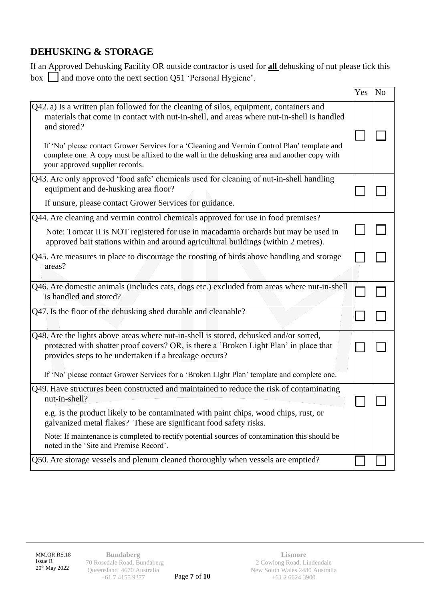# **DEHUSKING & STORAGE**

If an Approved Dehusking Facility OR outside contractor is used for **all** dehusking of nut please tick this box  $\Box$  and move onto the next section Q51 'Personal Hygiene'.

|                                                                                                                                                                                                                                                                                                                                                                                                                                        | Yes | N <sub>o</sub> |
|----------------------------------------------------------------------------------------------------------------------------------------------------------------------------------------------------------------------------------------------------------------------------------------------------------------------------------------------------------------------------------------------------------------------------------------|-----|----------------|
| Q42. a) Is a written plan followed for the cleaning of silos, equipment, containers and<br>materials that come in contact with nut-in-shell, and areas where nut-in-shell is handled<br>and stored?<br>If 'No' please contact Grower Services for a 'Cleaning and Vermin Control Plan' template and<br>complete one. A copy must be affixed to the wall in the dehusking area and another copy with<br>your approved supplier records. |     |                |
| Q43. Are only approved 'food safe' chemicals used for cleaning of nut-in-shell handling<br>equipment and de-husking area floor?<br>If unsure, please contact Grower Services for guidance.                                                                                                                                                                                                                                             |     |                |
| Q44. Are cleaning and vermin control chemicals approved for use in food premises?<br>Note: Tomcat II is NOT registered for use in macadamia orchards but may be used in<br>approved bait stations within and around agricultural buildings (within 2 metres).                                                                                                                                                                          |     |                |
| Q45. Are measures in place to discourage the roosting of birds above handling and storage<br>areas?                                                                                                                                                                                                                                                                                                                                    |     |                |
| Q46. Are domestic animals (includes cats, dogs etc.) excluded from areas where nut-in-shell<br>is handled and stored?                                                                                                                                                                                                                                                                                                                  |     |                |
| Q47. Is the floor of the dehusking shed durable and cleanable?                                                                                                                                                                                                                                                                                                                                                                         |     |                |
| Q48. Are the lights above areas where nut-in-shell is stored, dehusked and/or sorted,<br>protected with shatter proof covers? OR, is there a 'Broken Light Plan' in place that<br>provides steps to be undertaken if a breakage occurs?                                                                                                                                                                                                |     |                |
| If 'No' please contact Grower Services for a 'Broken Light Plan' template and complete one.                                                                                                                                                                                                                                                                                                                                            |     |                |
| Q49. Have structures been constructed and maintained to reduce the risk of contaminating<br>nut-in-shell?<br>e.g. is the product likely to be contaminated with paint chips, wood chips, rust, or<br>galvanized metal flakes? These are significant food safety risks.                                                                                                                                                                 |     |                |
| Note: If maintenance is completed to rectify potential sources of contamination this should be<br>noted in the 'Site and Premise Record'.                                                                                                                                                                                                                                                                                              |     |                |
| Q50. Are storage vessels and plenum cleaned thoroughly when vessels are emptied?                                                                                                                                                                                                                                                                                                                                                       |     |                |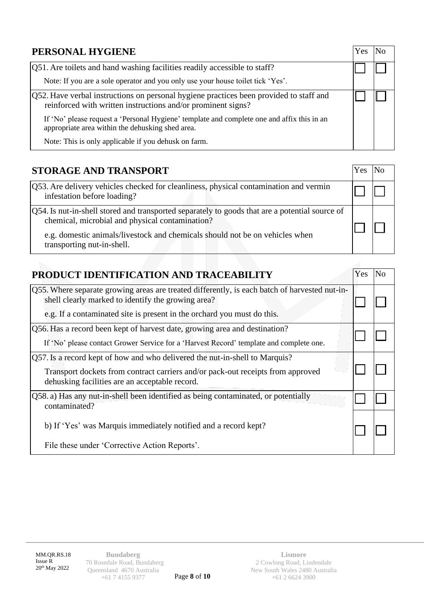| PERSONAL HYGIENE                                                                                                                                       | Y es |  |
|--------------------------------------------------------------------------------------------------------------------------------------------------------|------|--|
| [Q51. Are toilets and hand washing facilities readily accessible to staff?                                                                             |      |  |
| Note: If you are a sole operator and you only use your house toilet tick 'Yes'.                                                                        |      |  |
| Q52. Have verbal instructions on personal hygiene practices been provided to staff and<br>reinforced with written instructions and/or prominent signs? |      |  |
| If 'No' please request a 'Personal Hygiene' template and complete one and affix this in an<br>appropriate area within the dehusking shed area.         |      |  |
| Note: This is only applicable if you dehusk on farm.                                                                                                   |      |  |

| PRODUCT IDENTIFICATION AND TRACEABILITY                                                                                                                                                                          | Yes | N <sub>0</sub> |
|------------------------------------------------------------------------------------------------------------------------------------------------------------------------------------------------------------------|-----|----------------|
| Q55. Where separate growing areas are treated differently, is each batch of harvested nut-in-<br>shell clearly marked to identify the growing area?                                                              |     |                |
| e.g. If a contaminated site is present in the orchard you must do this.                                                                                                                                          |     |                |
| Q56. Has a record been kept of harvest date, growing area and destination?<br>If 'No' please contact Grower Service for a 'Harvest Record' template and complete one.                                            |     |                |
| Q57. Is a record kept of how and who delivered the nut-in-shell to Marquis?<br>Transport dockets from contract carriers and/or pack-out receipts from approved<br>dehusking facilities are an acceptable record. |     |                |
| Q58. a) Has any nut-in-shell been identified as being contaminated, or potentially<br>contaminated?                                                                                                              |     |                |
| b) If 'Yes' was Marquis immediately notified and a record kept?                                                                                                                                                  |     |                |
| File these under 'Corrective Action Reports'.                                                                                                                                                                    |     |                |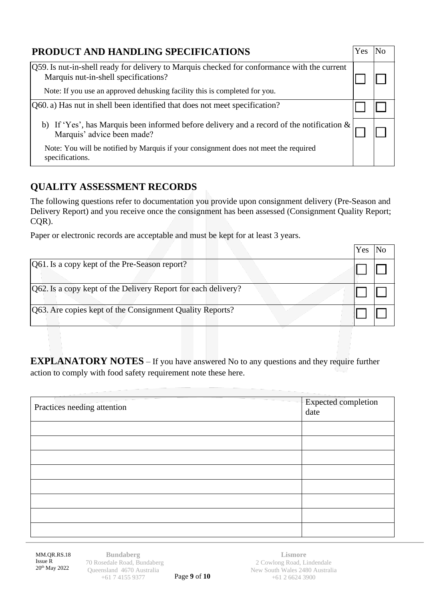| PRODUCT AND HANDLING SPECIFICATIONS                                                                                                  | <b>Yes</b> |  |
|--------------------------------------------------------------------------------------------------------------------------------------|------------|--|
| [Q59. Is nut-in-shell ready for delivery to Marquis checked for conformance with the current<br>Marquis nut-in-shell specifications? |            |  |
| Note: If you use an approved dehusking facility this is completed for you.                                                           |            |  |
| $[Q60. a)$ Has nut in shell been identified that does not meet specification?                                                        |            |  |
| b) If 'Yes', has Marquis been informed before delivery and a record of the notification $\&$<br>Marquis' advice been made?           |            |  |
| Note: You will be notified by Marquis if your consignment does not meet the required<br>specifications.                              |            |  |

# **QUALITY ASSESSMENT RECORDS**

The following questions refer to documentation you provide upon consignment delivery (Pre-Season and Delivery Report) and you receive once the consignment has been assessed (Consignment Quality Report; CQR).

Paper or electronic records are acceptable and must be kept for at least 3 years.

|                                                               | Yes |  |
|---------------------------------------------------------------|-----|--|
| [Q61. Is a copy kept of the Pre-Season report?]               |     |  |
| Q62. Is a copy kept of the Delivery Report for each delivery? |     |  |
| Q63. Are copies kept of the Consignment Quality Reports?      |     |  |

**EXPLANATORY NOTES** – If you have answered No to any questions and they require further action to comply with food safety requirement note these here.

| Practices needing attention | Expected completion<br>date |
|-----------------------------|-----------------------------|
|                             |                             |
|                             |                             |
|                             |                             |
|                             |                             |
|                             |                             |
|                             |                             |
|                             |                             |
|                             |                             |

MM.QR.RS.18 Issue R 20th May 2022

**Bundaberg** 170 Rosedale Road, Bundaberg Queensland 4670 Australia +61 7 4155 9377

Page **9** of **10**

**Lismore** 2 Cowlong Road, Lindendale New South Wales 2480 Australia +61 2 6624 3900